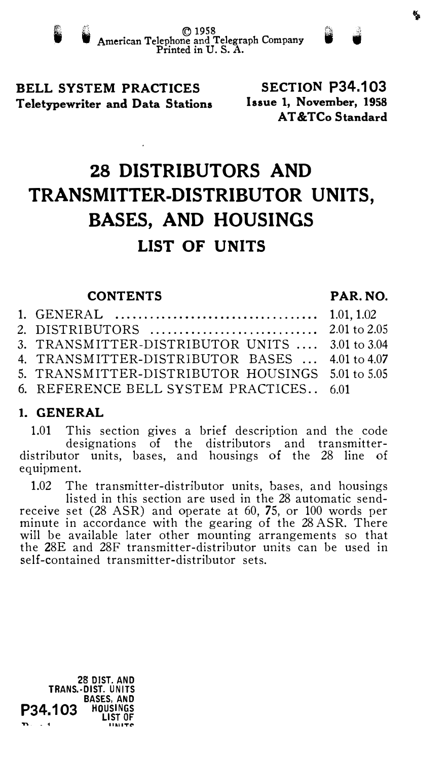BELL SYSTEM PRACTICES Teletypewriter and Data Stations

SECTION P34.103 Issue 1, November, 1958 AT &TCo Standard

# 28 DISTRIBUTORS AND TRANSMITTER-DISTRIBUTOR UNITS, BASES, AND HOUSINGS LIST OF UNITS

#### CONTENTS PAR. NO.

| 3. TRANSMITTER-DISTRIBUTOR UNITS  3.01 to 3.04   |  |
|--------------------------------------------------|--|
| 4. TRANSMITTER-DISTRIBUTOR BASES  4.01 to 4.07   |  |
| 5. TRANSMITTER-DISTRIBUTOR HOUSINGS 5.01 to 5.05 |  |
| 6. REFERENCE BELL SYSTEM PRACTICES 6.01          |  |

# 1. GENERAL

1.01 This section gives a brief description and the code designations of the distributors and transmitterdistributor units, bases, and housings of the 28 line of equipment.

1.02 The transmitter-distributor units, bases, and housings listed in this section are used in the 28 automatic sendreceive set (28 ASR) and operate at 60, 75, or 100 words per minute in accordance with the gearing of the 28 A SR. There will be available later other mounting arrangements so that the 28E and 28F transmitter-distributor units can be used in self-contained transmitter-distributor sets.

28 DIST. AND TRANS.·DIST. UNITS BASES, AND **P34.103 HOUSINGS** LIST OF  $\sim 10$ 

ų,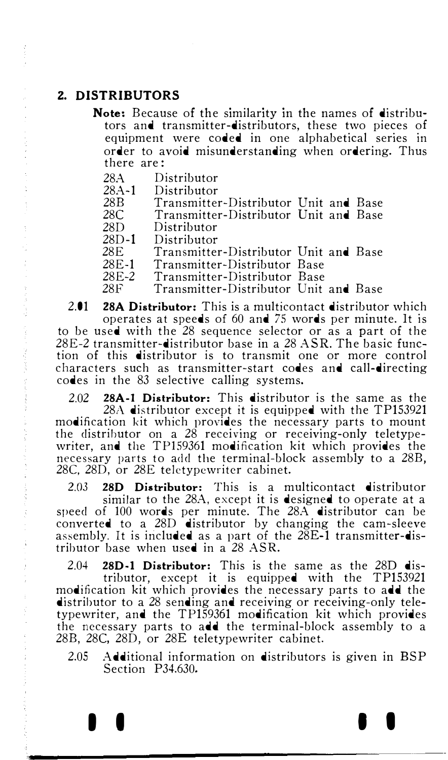# Z. DISTRIBUTORS

- Note: Because of the similarity in the names of distributors and transmitter-distributors, these two pieces of equipment were coded in one alphabetical series in order to avoid misunderstanding when ordering. Thus there are:
	- 28A Distributor<br>28A-1 Distributor
	- 28A-1 Distributor<br>28B Transmitter
	- 28B Transmitter-Distributor Unit and Base
	- 28C Transmitter-Distributor Unit and Base<br>28D Distributor
	- 28D Distributor<br>28D-1 Distributor
	- 28D-1 Distributor<br>28E Transmitter
	- 28E Transmitter-Distributor Unit and Base<br>28E-1 Transmitter-Distributor Base
	- 28E-1 Transmitter-Distributor Base<br>28E-2 Transmitter-Distributor Base
	- 28E-2 Transmitter-Distributor Base<br>28F Transmitter-Distributor Unit
	- Transmitter-Distributor Unit and Base

2.01 28A Distributor: This is a multicontact distributor which operates at speeds of 60 and 75 words per minute. It is to be used with the 28 sequence selector or as a part of the 28E-2 transmitter-distributor base in a 28 ASR. The basic function of this distributor is to transmit one or more control

characters such as transmitter-start codes and call-directing codes in the 83 selective calling systems.

2.02 28A-1 Distributor: This distributor is the same as the 28 $A$  distributor except it is equipped with the TP153921 modification kit which provides the necessary parts to mount the distributor on a 28 receiving or receiving-only teletypewriter, and the TP159361 modification kit which provides the necessary parts to add the terminal-block assembly to a 28B, 28C, 28D, or 28E teletypewriter cabinet.

2.03 28D Distributor: This is a multicontact distributor similar to the 28A, except it is designed to operate at a speed of 100 words per minute. The 28A distributor can be converted to a 28D distributor by changing the cam-sleeve assembly. It is included as a part of the 28E-1 transmitter-distributor base when used in a 28 ASR.

2.04 28D-1 Distributor: This is the same as the 28D distributor, except it is equipped with the TP153921 modification kit which provides the necessary parts to add the distributor to a 28 sending and receiving or receiving-only teletypewriter, and the TP159361 modification kit which provides the necessary parts to add the terminal-block assembly to a 28B, 28C, 28D, or 28E teletypewriter cabinet.

2.05 Additional information on distributors is given in ESP Section P34.630.

I I I I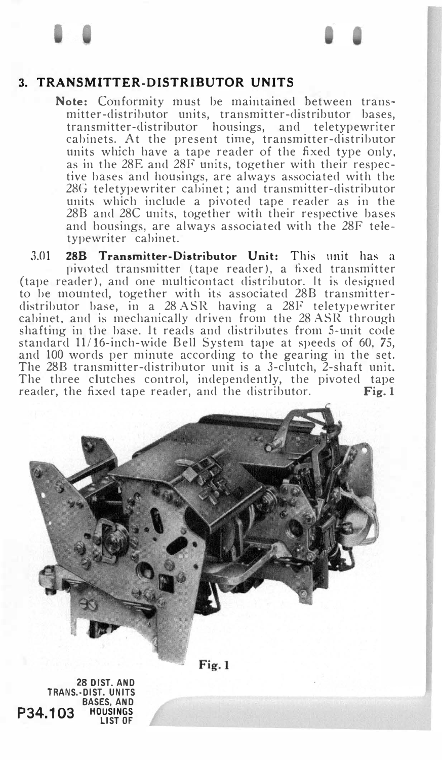### 3. TRANSMITTER-DISTRIBUTOR UNITS

Note: Conformity must be maintained between transmitter-distributor units, transmitter-distributor bases, transmitter-distributor housings, and teletypewriter cabinets. At the present time, transmitter-distributor units which have a tape reader of the fixed type only, as in the 28E and 28F units, together with their respective bases and housings, are always associated with the 28G teletypewriter cabinet; and transmitter-distributor units which include a pivoted tape reader as in the 28B and 28C units, together with their respective bases and housings, are always associated with the 28F teletypewriter cabinet.

3.01 288 Transmitter-Distributor Unit: This unit has <sup>a</sup> pivoted transmitter (tape reader), a fixed transmitter (tape reader), and one multicontact distributor. It is designed to be mounted, together with its associated 28B transmitterdistributor base, in a 28 ASR having a 28F teletypewriter cabinet, and is mechanically driven from the 28 ASR through shafting in the base. It reads and distributes from 5-unit code standard 11/16-inch-wide Bell System tape at speeds of 60, 75, and 100 words per minute according to the gearing in the set. The 28B transmitter-distributor unit is a 3-clutch, 2-shaft unit. The three clutches control, independently, the pivoted tape reader, the fixed tape reader, and the distributor.  $\mathbf{Fig. 1}$ 



Fig. 1

28 DIST. AND TRANS.·DIST. UNITS BASES, AND **P34.103 HOUSINGS** LIST OF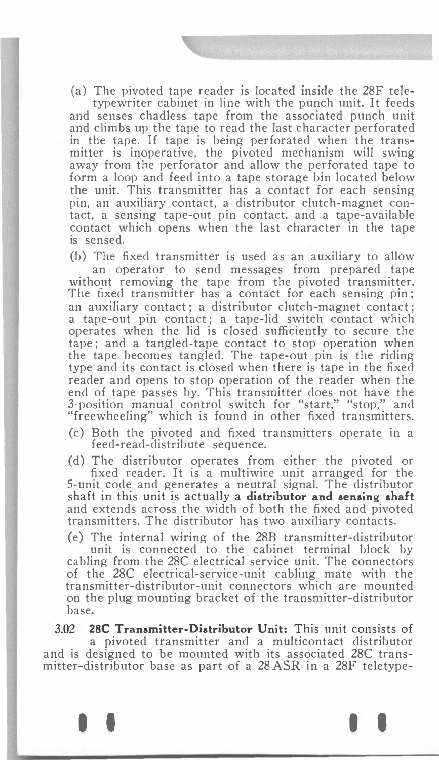(a) The pivoted tape reader is located inside the 28F tele-

 $\mathcal{P}^{\text{max}}(\mathcal{A}^{\text{max}})$  . We can can be considered in  $\mathcal{A}^{\text{max}}$ 

typewriter cabinet in line with the punch unit. It feeds and senses chadless tape from the associated punch unit and climbs up the tape to read the last character perforated in the tape. If tape is being perforated when the transmitter is inoperative, the pivoted mechanism will swing away from the perforator and allow the perforated tape to form a loop and feed into a tape storage bin located below the unit. This transmitter has a contact for each sensing pin, an auxiliary contact, a distributor clutch-magnet contact, a sensing tape-out pin contact, and a tape-available contact which opens when the last character in the tape is sensed.

(b) The fixed transmitter is used as an auxiliary to allow an operator to send messages from prepared tape

without removing the tape from the pivoted transmitter. The fixed transmitter has a contact for each sensing pin; an auxiliary contact; a distributor clutch-magnet contact; a tape-out pin contact; a tape-lid switch contact which operates when the lid is closed sufficiently to secure the tape; and a tangled-tape contact to stop operation when the tape becomes tangled. The tape-out pin is the riding type and its contact is closed when there is tape in the fixed reader and opens to stop operation of the reader when the end of tape passes by. This transmitter does not have the 3-position manual control switch for "start," "stop," and "freewheeling" which is found in other fixed transmitters.

(c) Both the pivoted and fixed transmitters operate in a feed-read-distribute sequence.

(d) The distributor operates from either the pivoted or fixed reader. It is a multiwire unit arranged for the 5-unit code and generates a neutral signal. The distributor shaft in this unit is actually a distributor and sensing shaft and extends across the width of both the fixed and pivoted transmitters. The distributor has two auxiliary contacts.

(e) The internal wiring of the 28B transmitter-distributor unit is connected to the cabinet terminal block by cabling from the 28C electrical service unit. The connectors of the 28C electrical-service-unit cabling mate with the transmitter-distributor-unit connectors which are mounted on the plug mounting bracket of the transmitter-distributor base.

3.02 28C Transmitter-Distributor Unit: This unit consists of a pivoted transmitter and a multicontact distributor and is designed to be mounted with its associated 28C transmitter-distributor base as part of a 28 ASR in a 28F teletype-

I I I I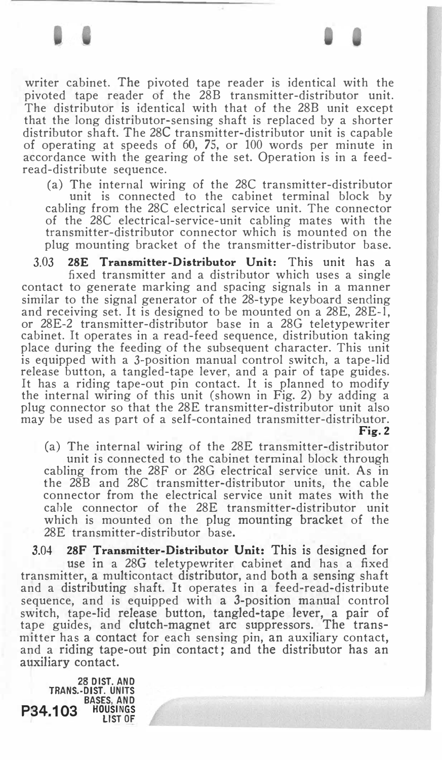writer cabinet. The pivoted tape reader is identical with the pivoted tape reader of the 28B transmitter-distributor unit. The distributor is identical with that of the 28B unit except that the long distributor-sensing shaft is replaced by a shorter distributor shaft. The 28C transmitter-distributor unit is capable of operating at speeds of 60, 75, or 100 words per minute in accordance with the gearing of the set. Operation is in a feedread-distribute sequence.

(a) The internal wiring of the 28C transmitter-distributor unit is connected to the cabinet terminal block by cabling from the 28C electrical service unit. The connector of the 28C electrical-service-unit cabling mates with the transmitter-distributor connector which is mounted on the plug mounting bracket of the transmitter-distributor base.

3.03 28E Transmitter-Distributor Unit: This unit has a fixed transmitter and a distributor which uses a single contact to generate marking and spacing signals in a manner similar to the signal generator of the 28-type keyboard sending and receiving set. It is designed to be mounted on a 28E, 28E-l, or 28E-2 transmitter-distributor base in a 28G teletypewriter cabinet. It operates in a read-feed sequence, distribution taking place during the feeding of the subsequent character. This unit is equipped with a 3-position manual control switch, a tape-lid release button, a tangled-tape lever, and a pair of tape guides. It has a riding tape-out pin contact. It is planned to modify the internal wiring of this unit (shown in Fig. 2) by adding a plug connector so that the 28E transmitter-distributor unit also may be used as part of a self-contained transmitter-distributor. Fig.2

(a) The internal wiring of the 28E transmitter-distributor unit is connected to the cabinet terminal block through cabling from the 28F or 28G electrical service unit. As in the 28B and 28C transmitter-distributor units, the cable connector from the electrical service unit mates with the cable connector of the 28E transmitter-distributor unit which is mounted on the plug mounting bracket of the 28E transmitter-distributor base.

3.04 28F Transmitter-Distributor Unit: This is designed for use in a 28G teletypewriter cabinet and has a fixed transmitter, a multicontact distributor, and both a sensing shaft and a distributing shaft. It operates in a feed-read-distribute sequence, and is equipped with a 3-position manual control switch, tape-lid release button, tangled-tape lever, a pair of tape guides, and clutch-magnet arc suppressors. The transmitter has a contact for each sensing pin, an auxiliary contact, and a riding tape-out pin contact; and the distributor has an auxiliary contact.

28 DIST. AND TRANS.-DIST. UNITS BASES, AND **P34.103 HOUSINGS** LIST OF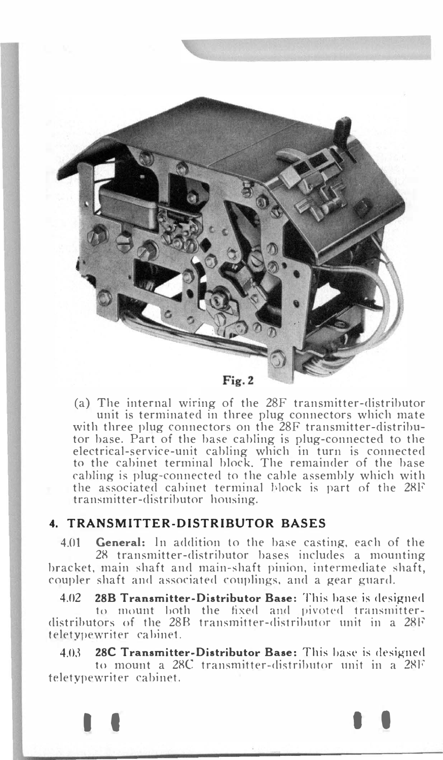

(a) The internal wiring of the 28F transmitter-distributor unit is terminated in three plug connectors which mate with three plug connectors on the 28F transmitter-distributor base. Part of the base cabling is plug-connected to the electrical-service-unit cabling which in turn is connected to the cabinet terminal block. The remainder of the base cabling is plug-connected to the cable assembly which with the associated cabinet terminal block is part of the 28F transmitter-distributor housing.

#### 4. TRANSMITTER-DISTRIBUTOR BASES

4.01 General: In addition to the base casting, each of the 28 transmitter-distributor bases includes a mounting bracket, main shaft and main-shaft pinion, intermediate shaft, coupler shaft and associated couplings, and a gear guard.

4.02 28B Transmitter-Distributor Base: This base is designed to mount both the fixed and pivoted transmitterdistributors of the 28B transmitter-distributor unit in a 28F teletypewriter cabinet.

4.03 **28C Transmitter-Distributor Base:** This base is designed to mount a 28C transmitter-distributor unit in a 28F teletypewriter cabinet.

I I I I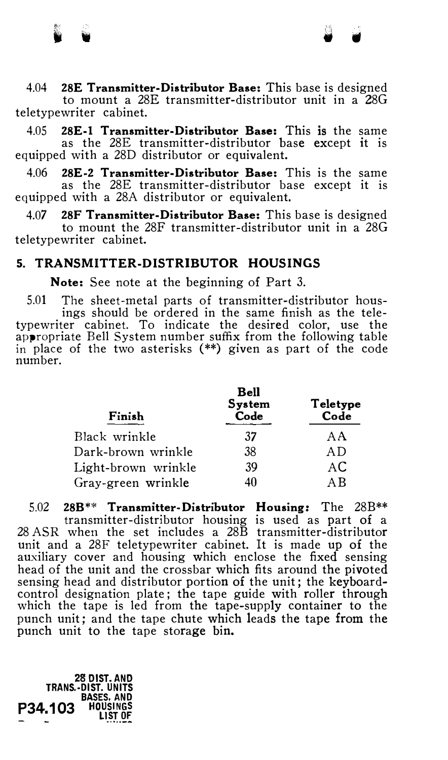4.04 28E Transmitter-Distributor Base: This base is designed to mount a 28E transmitter-distributor unit in a 28G teletypewriter cabinet.

• •

4.05 28E-1 Transmitter-Distributor Base: This is the same as the 28E transmitter-distributor base except it is equipped with a 28D distributor or equivalent.

4.06 28E-2 Transmitter-Distributor Base: This is the same as the 28E transmitter-distributor base except it is equipped with a 28A distributor or equivalent.

4.07 28F Transmitter-Distributor Base: This base is designed to mount the 28F transmitter-distributor unit in a 28G teletypewriter cabinet.

# 5. TRANSMITTER-DISTRIBUTOR HOUSINGS

Note: See note at the beginning of Part 3.

5.01 The sheet-metal parts of transmitter-distributor housings should be ordered in the same finish as the teletypewriter cabinet. To indicate the desired color, use the appropriate Bell System number suffix from the following table in place of the two asterisks (\*\*) given as part of the code number.

| Finish              | Bell<br>System<br>Code | Teletype<br>Code |
|---------------------|------------------------|------------------|
| Black wrinkle       | 37                     | AA               |
| Dark-brown wrinkle  | 38                     | AD               |
| Light-brown wrinkle | 39                     | AC               |
| Gray-green wrinkle  | 40                     | A B              |

5.02 288\*\* Transmitter-Distributor Housing: The 28B\*\* transmitter-distributor housing is used as part of a 28 ASR when the set includes a 28B transmitter-distributor unit and a 28F teletypewriter cabinet. It is made up of the auxiliary cover and housing which enclose the fixed sensing head of the unit and the crossbar which fits around the pivoted sensing head and distributor portion of the unit; the keyboardcontrol designation plate; the tape guide with roller through which the tape is led from the tape-supply container to the punch unit; and the tape chute which leads the tape from the punch unit to the tape storage bin.

28 DIST. AND TRANS.·DIST. UNITS **BASES, AND<br>HOUSINGS** P34.103 **LIST OF**